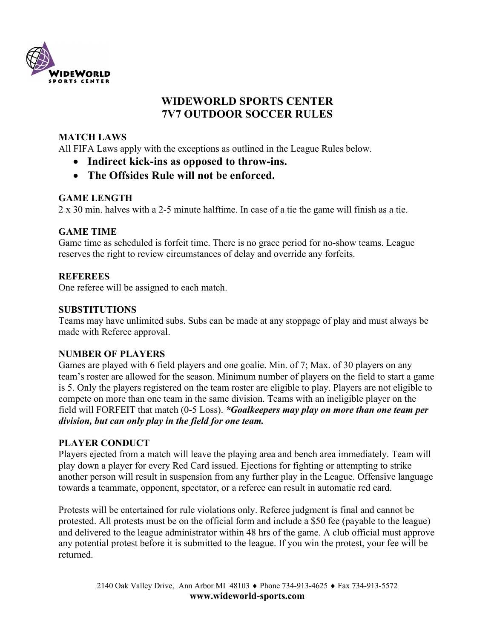

# **WIDEWORLD SPORTS CENTER 7V7 OUTDOOR SOCCER RULES**

# **MATCH LAWS**

All FIFA Laws apply with the exceptions as outlined in the League Rules below.

- **Indirect kick-ins as opposed to throw-ins.**
- **The Offsides Rule will not be enforced.**

# **GAME LENGTH**

2 x 30 min. halves with a 2-5 minute halftime. In case of a tie the game will finish as a tie.

## **GAME TIME**

Game time as scheduled is forfeit time. There is no grace period for no-show teams. League reserves the right to review circumstances of delay and override any forfeits.

## **REFEREES**

One referee will be assigned to each match.

## **SUBSTITUTIONS**

Teams may have unlimited subs. Subs can be made at any stoppage of play and must always be made with Referee approval.

## **NUMBER OF PLAYERS**

Games are played with 6 field players and one goalie. Min. of 7; Max. of 30 players on any team's roster are allowed for the season. Minimum number of players on the field to start a game is 5. Only the players registered on the team roster are eligible to play. Players are not eligible to compete on more than one team in the same division. Teams with an ineligible player on the field will FORFEIT that match (0-5 Loss). *\*Goalkeepers may play on more than one team per division, but can only play in the field for one team.*

## **PLAYER CONDUCT**

Players ejected from a match will leave the playing area and bench area immediately. Team will play down a player for every Red Card issued. Ejections for fighting or attempting to strike another person will result in suspension from any further play in the League. Offensive language towards a teammate, opponent, spectator, or a referee can result in automatic red card.

Protests will be entertained for rule violations only. Referee judgment is final and cannot be protested. All protests must be on the official form and include a \$50 fee (payable to the league) and delivered to the league administrator within 48 hrs of the game. A club official must approve any potential protest before it is submitted to the league. If you win the protest, your fee will be returned.

> 2140 Oak Valley Drive, Ann Arbor MI 48103 ♦ Phone 734-913-4625 ♦ Fax 734-913-5572 **www.wideworld-sports.com**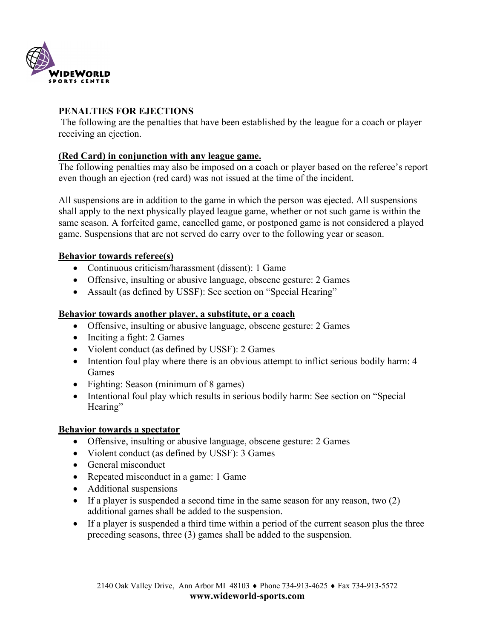

## **PENALTIES FOR EJECTIONS**

The following are the penalties that have been established by the league for a coach or player receiving an ejection.

#### **(Red Card) in conjunction with any league game.**

The following penalties may also be imposed on a coach or player based on the referee's report even though an ejection (red card) was not issued at the time of the incident.

All suspensions are in addition to the game in which the person was ejected. All suspensions shall apply to the next physically played league game, whether or not such game is within the same season. A forfeited game, cancelled game, or postponed game is not considered a played game. Suspensions that are not served do carry over to the following year or season.

## **Behavior towards referee(s)**

- Continuous criticism/harassment (dissent): 1 Game
- Offensive, insulting or abusive language, obscene gesture: 2 Games
- Assault (as defined by USSF): See section on "Special Hearing"

#### **Behavior towards another player, a substitute, or a coach**

- Offensive, insulting or abusive language, obscene gesture: 2 Games
- Inciting a fight: 2 Games
- Violent conduct (as defined by USSF): 2 Games
- Intention foul play where there is an obvious attempt to inflict serious bodily harm: 4 Games
- Fighting: Season (minimum of 8 games)
- Intentional foul play which results in serious bodily harm: See section on "Special" Hearing"

#### **Behavior towards a spectator**

- Offensive, insulting or abusive language, obscene gesture: 2 Games
- Violent conduct (as defined by USSF): 3 Games
- General misconduct
- Repeated misconduct in a game: 1 Game
- Additional suspensions
- If a player is suspended a second time in the same season for any reason, two (2) additional games shall be added to the suspension.
- If a player is suspended a third time within a period of the current season plus the three preceding seasons, three (3) games shall be added to the suspension.